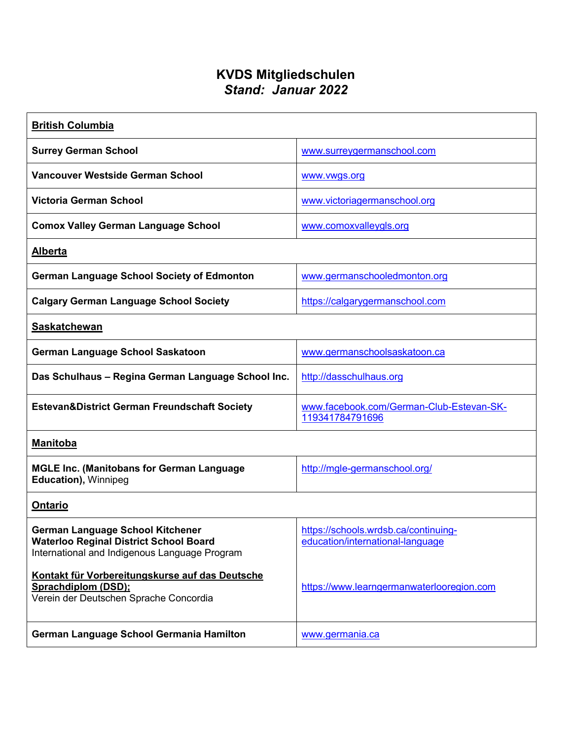## **KVDS Mitgliedschulen** *Stand: Januar 2022*

| <b>British Columbia</b>                                                                                                                   |                                                                          |
|-------------------------------------------------------------------------------------------------------------------------------------------|--------------------------------------------------------------------------|
| <b>Surrey German School</b>                                                                                                               | www.surreygermanschool.com                                               |
| <b>Vancouver Westside German School</b>                                                                                                   | www.vwgs.org                                                             |
| <b>Victoria German School</b>                                                                                                             | www.victoriagermanschool.org                                             |
| <b>Comox Valley German Language School</b>                                                                                                | www.comoxvalleygls.org                                                   |
| <b>Alberta</b>                                                                                                                            |                                                                          |
| <b>German Language School Society of Edmonton</b>                                                                                         | www.germanschooledmonton.org                                             |
| <b>Calgary German Language School Society</b>                                                                                             | https://calgarygermanschool.com                                          |
| <b>Saskatchewan</b>                                                                                                                       |                                                                          |
| German Language School Saskatoon                                                                                                          | www.germanschoolsaskatoon.ca                                             |
| Das Schulhaus - Regina German Language School Inc.                                                                                        | http://dasschulhaus.org                                                  |
| <b>Estevan&amp;District German Freundschaft Society</b>                                                                                   | www.facebook.com/German-Club-Estevan-SK-<br>119341784791696              |
| <b>Manitoba</b>                                                                                                                           |                                                                          |
| <b>MGLE Inc. (Manitobans for German Language</b><br><b>Education), Winnipeg</b>                                                           | http://mgle-germanschool.org/                                            |
| <b>Ontario</b>                                                                                                                            |                                                                          |
| <b>German Language School Kitchener</b><br><b>Waterloo Reginal District School Board</b><br>International and Indigenous Language Program | https://schools.wrdsb.ca/continuing-<br>education/international-language |
| Kontakt für Vorbereitungskurse auf das Deutsche<br>Sprachdiplom (DSD);<br>Verein der Deutschen Sprache Concordia                          | https://www.learngermanwaterlooregion.com                                |
| <b>German Language School Germania Hamilton</b>                                                                                           | www.germania.ca                                                          |